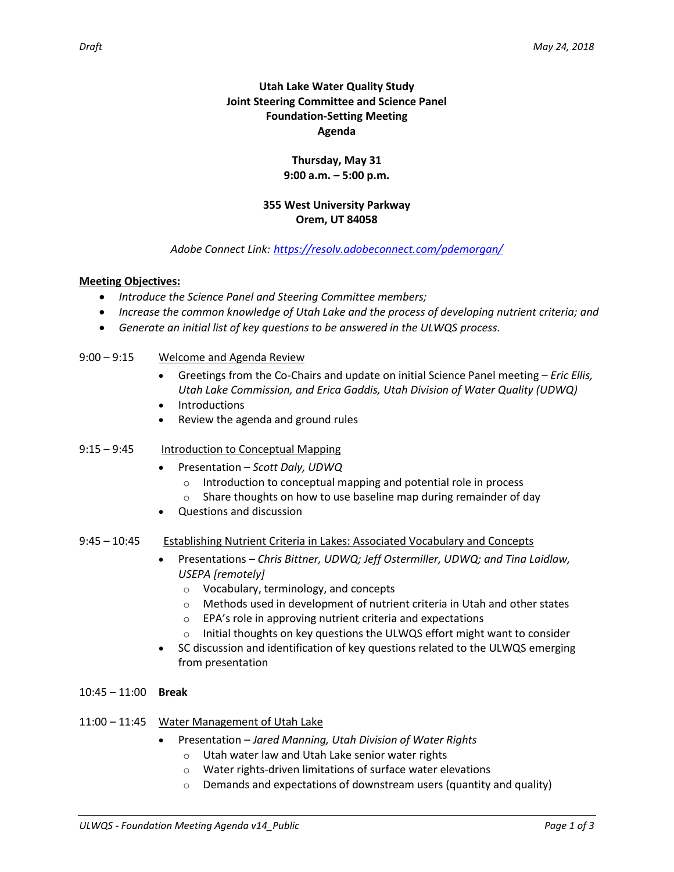# **Utah Lake Water Quality Study Joint Steering Committee and Science Panel Foundation-Setting Meeting Agenda**

## **Thursday, May 31 9:00 a.m. – 5:00 p.m.**

## **355 West University Parkway Orem, UT 84058**

## *Adobe Connect Link: <https://resolv.adobeconnect.com/pdemorgan/>*

## **Meeting Objectives:**

- *Introduce the Science Panel and Steering Committee members;*
- *Increase the common knowledge of Utah Lake and the process of developing nutrient criteria; and*
- *Generate an initial list of key questions to be answered in the ULWQS process.*

### 9:00 – 9:15 Welcome and Agenda Review

- Greetings from the Co-Chairs and update on initial Science Panel meeting *Eric Ellis, Utah Lake Commission, and Erica Gaddis, Utah Division of Water Quality (UDWQ)*
- **Introductions**
- Review the agenda and ground rules
- 9:15 9:45 Introduction to Conceptual Mapping
	- Presentation *Scott Daly, UDWQ*
		- o Introduction to conceptual mapping and potential role in process
		- o Share thoughts on how to use baseline map during remainder of day
	- Questions and discussion
- 9:45 10:45 Establishing Nutrient Criteria in Lakes: Associated Vocabulary and Concepts
	- Presentations *Chris Bittner, UDWQ; Jeff Ostermiller, UDWQ; and Tina Laidlaw, USEPA [remotely]*
		- o Vocabulary, terminology, and concepts
		- $\circ$  Methods used in development of nutrient criteria in Utah and other states
		- o EPA's role in approving nutrient criteria and expectations
		- $\circ$  Initial thoughts on key questions the ULWQS effort might want to consider
	- SC discussion and identification of key questions related to the ULWQS emerging from presentation
- 10:45 11:00 **Break**
- 11:00 11:45 Water Management of Utah Lake
	- Presentation *Jared Manning, Utah Division of Water Rights*
		- o Utah water law and Utah Lake senior water rights
		- o Water rights-driven limitations of surface water elevations
		- $\circ$  Demands and expectations of downstream users (quantity and quality)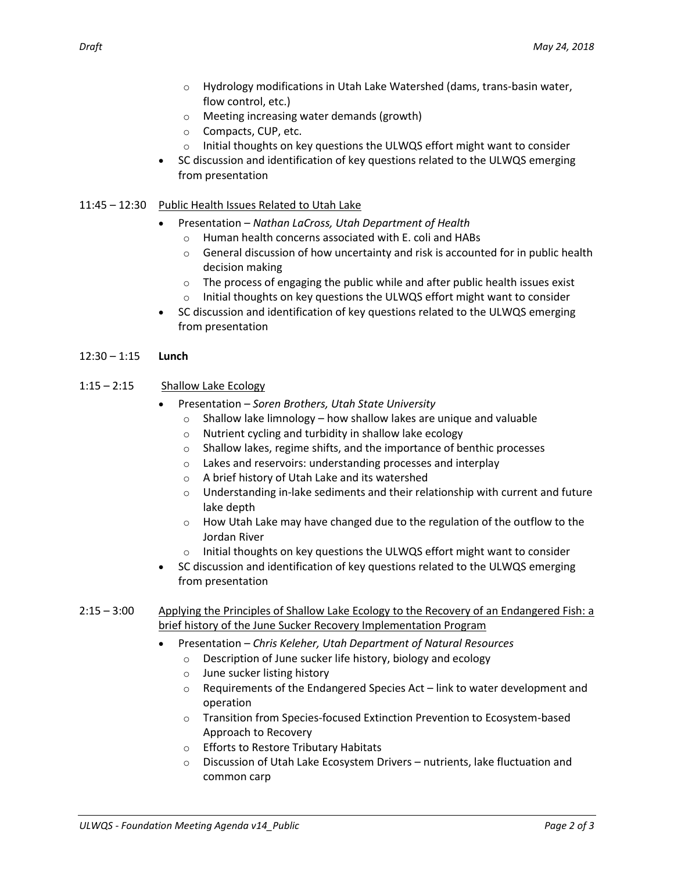- $\circ$  Hydrology modifications in Utah Lake Watershed (dams, trans-basin water, flow control, etc.)
- o Meeting increasing water demands (growth)
- o Compacts, CUP, etc.
- o Initial thoughts on key questions the ULWQS effort might want to consider
- SC discussion and identification of key questions related to the ULWQS emerging from presentation

#### 11:45 – 12:30 Public Health Issues Related to Utah Lake

- Presentation *Nathan LaCross, Utah Department of Health*
	- o Human health concerns associated with E. coli and HABs
	- o General discussion of how uncertainty and risk is accounted for in public health decision making
	- $\circ$  The process of engaging the public while and after public health issues exist
	- $\circ$  Initial thoughts on key questions the ULWQS effort might want to consider
- SC discussion and identification of key questions related to the ULWQS emerging from presentation

#### 12:30 – 1:15 **Lunch**

#### 1:15 – 2:15 Shallow Lake Ecology

- Presentation *Soren Brothers, Utah State University*
	- $\circ$  Shallow lake limnology how shallow lakes are unique and valuable
	- o Nutrient cycling and turbidity in shallow lake ecology
	- o Shallow lakes, regime shifts, and the importance of benthic processes
	- o Lakes and reservoirs: understanding processes and interplay
	- o A brief history of Utah Lake and its watershed
	- $\circ$  Understanding in-lake sediments and their relationship with current and future lake depth
	- $\circ$  How Utah Lake may have changed due to the regulation of the outflow to the Jordan River
	- $\circ$  Initial thoughts on key questions the ULWQS effort might want to consider
- SC discussion and identification of key questions related to the ULWQS emerging from presentation
- 2:15 3:00 Applying the Principles of Shallow Lake Ecology to the Recovery of an Endangered Fish: a brief history of the June Sucker Recovery Implementation Program
	- Presentation *Chris Keleher, Utah Department of Natural Resources*
		- o Description of June sucker life history, biology and ecology
		- o June sucker listing history
		- $\circ$  Requirements of the Endangered Species Act link to water development and operation
		- o Transition from Species-focused Extinction Prevention to Ecosystem-based Approach to Recovery
		- o Efforts to Restore Tributary Habitats
		- o Discussion of Utah Lake Ecosystem Drivers nutrients, lake fluctuation and common carp